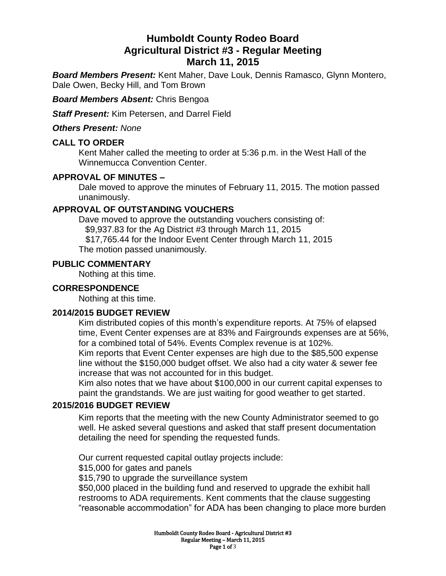# **Humboldt County Rodeo Board Agricultural District #3 - Regular Meeting March 11, 2015**

*Board Members Present:* Kent Maher, Dave Louk, Dennis Ramasco, Glynn Montero, Dale Owen, Becky Hill, and Tom Brown

*Board Members Absent:* Chris Bengoa

*Staff Present:* Kim Petersen, and Darrel Field

*Others Present: None*

### **CALL TO ORDER**

Kent Maher called the meeting to order at 5:36 p.m. in the West Hall of the Winnemucca Convention Center.

### **APPROVAL OF MINUTES –**

Dale moved to approve the minutes of February 11, 2015. The motion passed unanimously.

## **APPROVAL OF OUTSTANDING VOUCHERS**

Dave moved to approve the outstanding vouchers consisting of: \$9,937.83 for the Ag District #3 through March 11, 2015 \$17,765.44 for the Indoor Event Center through March 11, 2015 The motion passed unanimously.

#### **PUBLIC COMMENTARY**

Nothing at this time.

### **CORRESPONDENCE**

Nothing at this time.

#### **2014/2015 BUDGET REVIEW**

Kim distributed copies of this month's expenditure reports. At 75% of elapsed time, Event Center expenses are at 83% and Fairgrounds expenses are at 56%, for a combined total of 54%. Events Complex revenue is at 102%.

Kim reports that Event Center expenses are high due to the \$85,500 expense line without the \$150,000 budget offset. We also had a city water & sewer fee increase that was not accounted for in this budget.

Kim also notes that we have about \$100,000 in our current capital expenses to paint the grandstands. We are just waiting for good weather to get started.

#### **2015/2016 BUDGET REVIEW**

Kim reports that the meeting with the new County Administrator seemed to go well. He asked several questions and asked that staff present documentation detailing the need for spending the requested funds.

Our current requested capital outlay projects include:

\$15,000 for gates and panels

\$15,790 to upgrade the surveillance system

\$50,000 placed in the building fund and reserved to upgrade the exhibit hall restrooms to ADA requirements. Kent comments that the clause suggesting "reasonable accommodation" for ADA has been changing to place more burden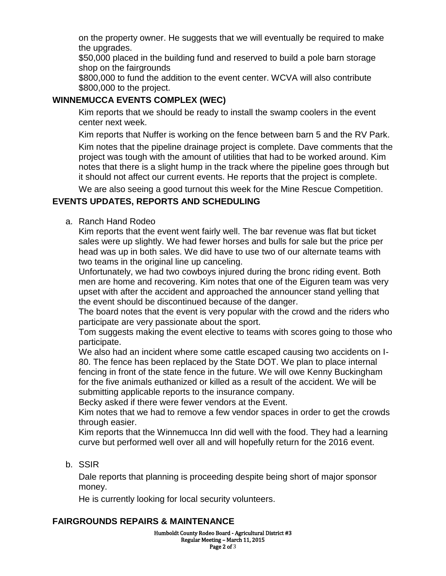on the property owner. He suggests that we will eventually be required to make the upgrades.

\$50,000 placed in the building fund and reserved to build a pole barn storage shop on the fairgrounds

\$800,000 to fund the addition to the event center. WCVA will also contribute \$800,000 to the project.

# **WINNEMUCCA EVENTS COMPLEX (WEC)**

Kim reports that we should be ready to install the swamp coolers in the event center next week.

Kim reports that Nuffer is working on the fence between barn 5 and the RV Park.

Kim notes that the pipeline drainage project is complete. Dave comments that the project was tough with the amount of utilities that had to be worked around. Kim notes that there is a slight hump in the track where the pipeline goes through but it should not affect our current events. He reports that the project is complete.

We are also seeing a good turnout this week for the Mine Rescue Competition.

# **EVENTS UPDATES, REPORTS AND SCHEDULING**

a. Ranch Hand Rodeo

Kim reports that the event went fairly well. The bar revenue was flat but ticket sales were up slightly. We had fewer horses and bulls for sale but the price per head was up in both sales. We did have to use two of our alternate teams with two teams in the original line up canceling.

Unfortunately, we had two cowboys injured during the bronc riding event. Both men are home and recovering. Kim notes that one of the Eiguren team was very upset with after the accident and approached the announcer stand yelling that the event should be discontinued because of the danger.

The board notes that the event is very popular with the crowd and the riders who participate are very passionate about the sport.

Tom suggests making the event elective to teams with scores going to those who participate.

We also had an incident where some cattle escaped causing two accidents on I-80. The fence has been replaced by the State DOT. We plan to place internal fencing in front of the state fence in the future. We will owe Kenny Buckingham for the five animals euthanized or killed as a result of the accident. We will be submitting applicable reports to the insurance company.

Becky asked if there were fewer vendors at the Event.

Kim notes that we had to remove a few vendor spaces in order to get the crowds through easier.

Kim reports that the Winnemucca Inn did well with the food. They had a learning curve but performed well over all and will hopefully return for the 2016 event.

b. SSIR

Dale reports that planning is proceeding despite being short of major sponsor money.

He is currently looking for local security volunteers.

## **FAIRGROUNDS REPAIRS & MAINTENANCE**

Humboldt County Rodeo Board - Agricultural District #3 Regular Meeting – March 11, 2015 Page 2 of 3